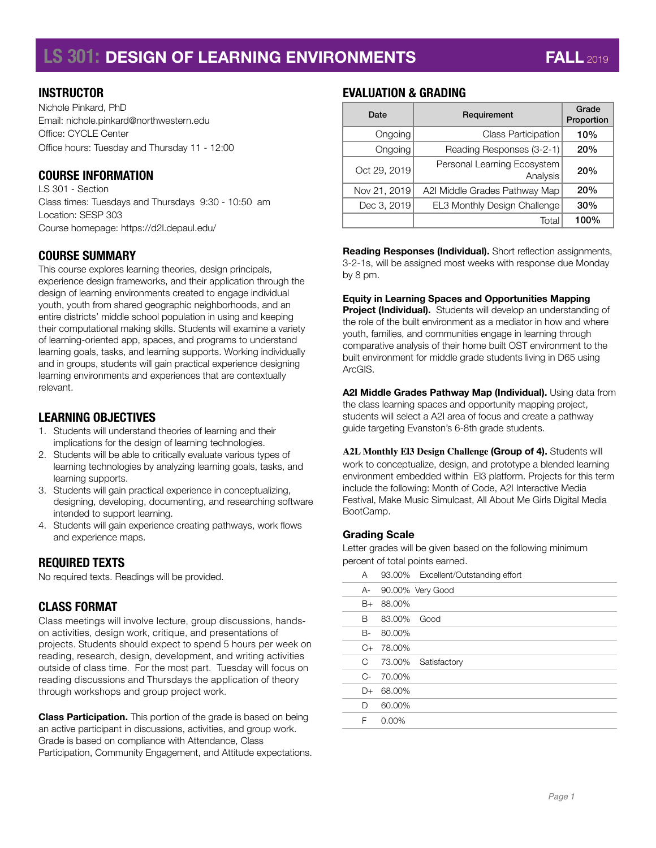# **LS 301: DESIGN OF LEARNING ENVIRONMENTS FALL** 2019

#### **INSTRUCTOR**

Nichole Pinkard, PhD Email: nichole.pinkard@northwestern.edu Office: CYCLE Center Office hours: Tuesday and Thursday 11 - 12:00

#### **COURSE INFORMATION**

LS 301 - Section Class times: Tuesdays and Thursdays 9:30 - 10:50 am Location: SESP 303 Course homepage:<https://d2l.depaul.edu/>

#### **COURSE SUMMARY**

This course explores learning theories, design principals, experience design frameworks, and their application through the design of learning environments created to engage individual youth, youth from shared geographic neighborhoods, and an entire districts' middle school population in using and keeping their computational making skills. Students will examine a variety of learning-oriented app, spaces, and programs to understand learning goals, tasks, and learning supports. Working individually and in groups, students will gain practical experience designing learning environments and experiences that are contextually relevant.

## **LEARNING OBJECTIVES**

- 1. Students will understand theories of learning and their implications for the design of learning technologies.
- 2. Students will be able to critically evaluate various types of learning technologies by analyzing learning goals, tasks, and learning supports.
- 3. Students will gain practical experience in conceptualizing, designing, developing, documenting, and researching software intended to support learning.
- 4. Students will gain experience creating pathways, work flows and experience maps.

#### **REQUIRED TEXTS**

No required texts. Readings will be provided.

#### **CLASS FORMAT**

Class meetings will involve lecture, group discussions, handson activities, design work, critique, and presentations of projects. Students should expect to spend 5 hours per week on reading, research, design, development, and writing activities outside of class time. For the most part. Tuesday will focus on reading discussions and Thursdays the application of theory through workshops and group project work.

**Class Participation.** This portion of the grade is based on being an active participant in discussions, activities, and group work. Grade is based on compliance with Attendance, Class Participation, Community Engagement, and Attitude expectations.

## **EVALUATION & GRADING**

| Date         | Requirement                             | Grade<br>Proportion |
|--------------|-----------------------------------------|---------------------|
| Ongoing      | <b>Class Participation</b>              | 10%                 |
| Ongoing      | Reading Responses (3-2-1)               | 20%                 |
| Oct 29, 2019 | Personal Learning Ecosystem<br>Analysis | 20%                 |
| Nov 21, 2019 | A2I Middle Grades Pathway Map           | 20%                 |
| Dec 3, 2019  | EL3 Monthly Design Challenge            | 30%                 |
|              | Total                                   | 100%                |

**Reading Responses (Individual).** Short reflection assignments, 3-2-1s, will be assigned most weeks with response due Monday by 8 pm.

#### **Equity in Learning Spaces and Opportunities Mapping**

**Project (Individual).** Students will develop an understanding of the role of the built environment as a mediator in how and where youth, families, and communities engage in learning through comparative analysis of their home built OST environment to the built environment for middle grade students living in D65 using ArcGIS.

**A2I Middle Grades Pathway Map (Individual).** Using data from the class learning spaces and opportunity mapping project, students will select a A2I area of focus and create a pathway guide targeting Evanston's 6-8th grade students.

**A2L Monthly El3 Design Challenge (Group of 4).** Students will work to conceptualize, design, and prototype a blended learning environment embedded within El3 platform. Projects for this term include the following: Month of Code, A2I Interactive Media Festival, Make Music Simulcast, All About Me Girls Digital Media BootCamp.

#### **Grading Scale**

Letter grades will be given based on the following minimum percent of total points earned.

| A       |          | 93.00% Excellent/Outstanding effort |
|---------|----------|-------------------------------------|
| A-      |          | 90.00% Very Good                    |
| B+      | 88.00%   |                                     |
| В       | 83.00%   | Good                                |
| B-      | 80.00%   |                                     |
| $C_{+}$ | 78.00%   |                                     |
| C.      |          | 73.00% Satisfactory                 |
| C-      | 70.00%   |                                     |
| D+      | 68.00%   |                                     |
| D       | 60.00%   |                                     |
| F       | $0.00\%$ |                                     |
|         |          |                                     |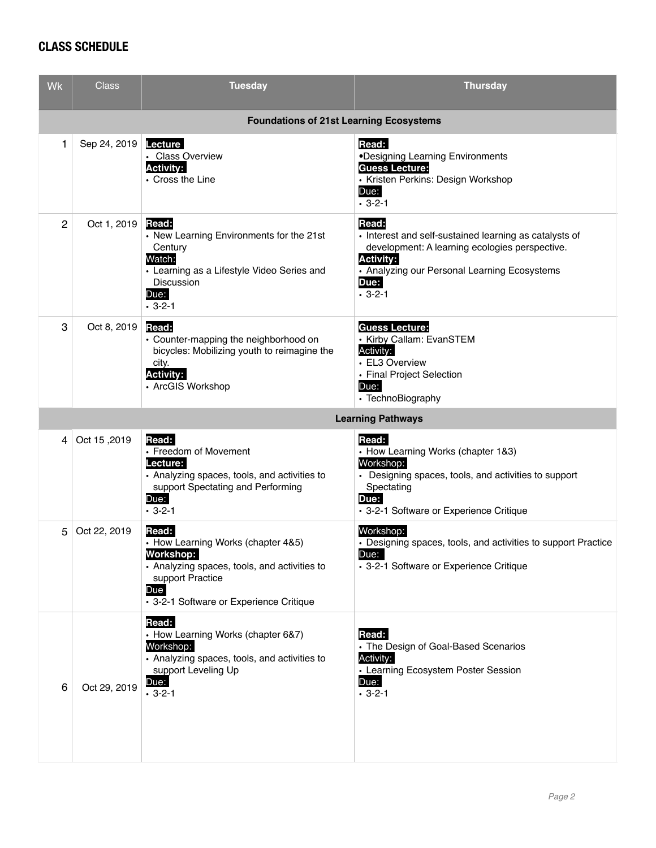## **CLASS SCHEDULE**

| <b>Wk</b>                                      | Class                    | <b>Tuesday</b>                                                                                                                                                                 | <b>Thursday</b>                                                                                                                                                                                               |  |  |  |
|------------------------------------------------|--------------------------|--------------------------------------------------------------------------------------------------------------------------------------------------------------------------------|---------------------------------------------------------------------------------------------------------------------------------------------------------------------------------------------------------------|--|--|--|
| <b>Foundations of 21st Learning Ecosystems</b> |                          |                                                                                                                                                                                |                                                                                                                                                                                                               |  |  |  |
| 1                                              | Sep 24, 2019             | <b>Lecture</b><br>· Class Overview<br><b>Activity:</b><br>• Cross the Line                                                                                                     | Read:<br>•Designing Learning Environments<br><b>Guess Lecture:</b><br>• Kristen Perkins: Design Workshop<br>Due:<br>$-3-2-1$                                                                                  |  |  |  |
| 2                                              | Oct 1, 2019              | Read:<br>• New Learning Environments for the 21st<br>Century<br>Watch:<br>• Learning as a Lifestyle Video Series and<br>Discussion<br>Due:<br>$.3 - 2 - 1$                     | Read:<br>• Interest and self-sustained learning as catalysts of<br>development: A learning ecologies perspective.<br><b>Activity:</b><br>• Analyzing our Personal Learning Ecosystems<br>Due:<br>$.3 - 2 - 1$ |  |  |  |
| 3                                              | Oct 8, 2019              | Read:<br>• Counter-mapping the neighborhood on<br>bicycles: Mobilizing youth to reimagine the<br>city.<br><b>Activity:</b><br>• ArcGIS Workshop                                | <b>Guess Lecture:</b><br>• Kirby Callam: EvanSTEM<br>Activity:<br>• EL3 Overview<br>. Final Project Selection<br>Due:<br>• TechnoBiography                                                                    |  |  |  |
|                                                | <b>Learning Pathways</b> |                                                                                                                                                                                |                                                                                                                                                                                                               |  |  |  |
| 4                                              | Oct 15,2019              | Read:<br>• Freedom of Movement<br>Lecture:<br>• Analyzing spaces, tools, and activities to<br>support Spectating and Performing<br>Due:<br>$-3-2-1$                            | Read:<br>• How Learning Works (chapter 1&3)<br>Workshop:<br>• Designing spaces, tools, and activities to support<br>Spectating<br>Due:<br>• 3-2-1 Software or Experience Critique                             |  |  |  |
| 5                                              | Oct 22, 2019             | Read:<br>• How Learning Works (chapter 4&5)<br>Workshop:<br>• Analyzing spaces, tools, and activities to<br>support Practice<br>Due<br>• 3-2-1 Software or Experience Critique | Workshop:<br>• Designing spaces, tools, and activities to support Practice<br>Due:<br>• 3-2-1 Software or Experience Critique                                                                                 |  |  |  |
| 6                                              | Oct 29, 2019             | Read:<br>• How Learning Works (chapter 6&7)<br>Workshop:<br>• Analyzing spaces, tools, and activities to<br>support Leveling Up<br>Due:<br>$-3-2-1$                            | Read:<br>• The Design of Goal-Based Scenarios<br>Activity:<br>• Learning Ecosystem Poster Session<br>Due:<br>$.3 - 2 - 1$                                                                                     |  |  |  |